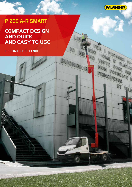

**CALL CALLED** 

**VISTE COSE AUTOR** 

**MON POTRESTE IN** 

**ET THE** 

**LATO VISTE COSE ADAT** 

**PRINCIPLESSA** 

Io

BUONGIOR

# P 200 A-R SMART

**COMPACT DESIGN AND QUICK AND EASY TO USE**

**LIFETIME EXCELLENCE**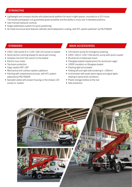#### **STRENGTHS**

- Lightweight and compact double articulated aerial platform for work in tight spaces, mounted on a 3.5 t truck. The double pantograph unit guarantees great versatility and the ability to move over in elevated positions.
- User-friendly hydraulic controls
- Single stabilisation system for quick positioning
- All metal structural work features cathodic electrodeposition coating, with KTL system patented by PALFINGER.

- 230V / 16A socket A or 110V / 16A 12V socket on basket
- Aerial section centring dispaly for aerial part closing
- Air/water line from the column to the basket
- Electric hour meter
- Top boom protection
- Cage rotation 90°+ 90°
- Mechanical anti-collision system cab/boom
- Painting with cataphoresis process, with KTL system patented by PALFINGER
- Spreader plates with proper housing on the chassis 12V socket on basket.

#### STANDARD MAIN ACCESSORIES

- 12V electric pump for emergency lowering
- 230V / 16A or 110V / 16A electric pump with quick coupler
- Brushes kit on telescopic boom
- Fiberglass basket (replacement for aluminium cage)
- 1000V insulation on fibreglass basket
- Flashing light at turntable
- Folding left and right side bordering h = 200mm
- Inclinometer with audio alarm signal and signal lights relating to aerial work conditions
- Plastic storage toolbox at the rear
- Side protection.

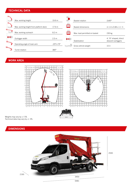#### TECHNICAL DATA

| $-00$  | Max. working height                    | 19.6 <sub>m</sub>         |            | Basket rotation               |
|--------|----------------------------------------|---------------------------|------------|-------------------------------|
|        | Max. working height from platform deck | 17.6 <sub>m</sub>         | H          | Basket dimensions             |
|        | Max. working outreach                  | 8.2 m                     | $\Box$     | Max. load permitted on basket |
|        | Outrigger width                        | 2.5m                      |            | Stabilization                 |
| $\Box$ | Operating angle of main arm            | $-25^{\circ}/+73^{\circ}$ | $\sqrt{2}$ | Gross vehicle weight          |
|        | Turret rotation                        | 380°                      |            |                               |

### WORK AREA



Weights may vary by +/- 5% Technical data may vary by +/- 3%

## DIMENSIONS



6481

2930

 $2x90°$ 

230 kg

 $3.5 t$ 

 $m 1.4 x 0.84 x 1.1 h$ 

4, "A"-shaped, direct descent outriggers